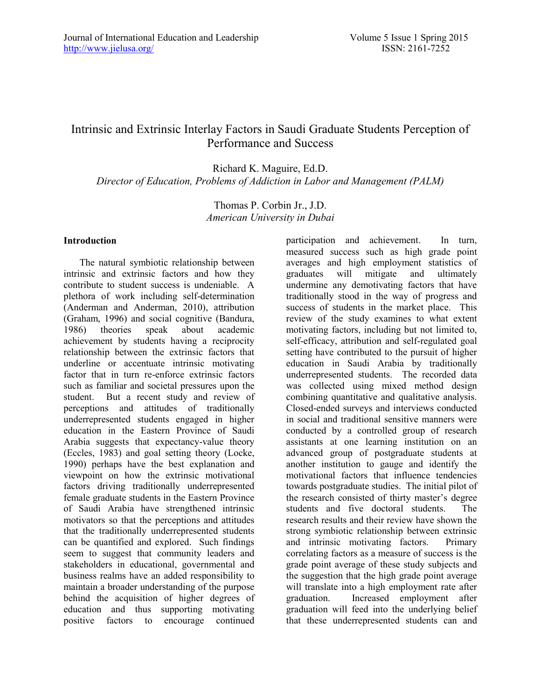## Intrinsic and Extrinsic Interlay Factors in Saudi Graduate Students Perception of Performance and Success

Richard K. Maguire, Ed.D. *Director of Education, Problems of Addiction in Labor and Management (PALM)*

> Thomas P. Corbin Jr., J.D. *American University in Dubai*

#### **Introduction**

The natural symbiotic relationship between intrinsic and extrinsic factors and how they contribute to student success is undeniable. A plethora of work including self-determination (Anderman and Anderman, 2010), attribution (Graham, 1996) and social cognitive (Bandura, 1986) theories speak about academic achievement by students having a reciprocity relationship between the extrinsic factors that underline or accentuate intrinsic motivating factor that in turn re-enforce extrinsic factors such as familiar and societal pressures upon the student. But a recent study and review of perceptions and attitudes of traditionally underrepresented students engaged in higher education in the Eastern Province of Saudi Arabia suggests that expectancy-value theory (Eccles, 1983) and goal setting theory (Locke, 1990) perhaps have the best explanation and viewpoint on how the extrinsic motivational factors driving traditionally underrepresented female graduate students in the Eastern Province of Saudi Arabia have strengthened intrinsic motivators so that the perceptions and attitudes that the traditionally underrepresented students can be quantified and explored. Such findings seem to suggest that community leaders and stakeholders in educational, governmental and business realms have an added responsibility to maintain a broader understanding of the purpose behind the acquisition of higher degrees of education and thus supporting motivating positive factors to encourage continued participation and achievement. In turn, measured success such as high grade point averages and high employment statistics of graduates will mitigate and ultimately undermine any demotivating factors that have traditionally stood in the way of progress and success of students in the market place. This review of the study examines to what extent motivating factors, including but not limited to, self-efficacy, attribution and self-regulated goal setting have contributed to the pursuit of higher education in Saudi Arabia by traditionally underrepresented students. The recorded data was collected using mixed method design combining quantitative and qualitative analysis. Closed-ended surveys and interviews conducted in social and traditional sensitive manners were conducted by a controlled group of research assistants at one learning institution on an advanced group of postgraduate students at another institution to gauge and identify the motivational factors that influence tendencies towards postgraduate studies. The initial pilot of the research consisted of thirty master's degree students and five doctoral students. The research results and their review have shown the strong symbiotic relationship between extrinsic and intrinsic motivating factors. Primary correlating factors as a measure of success is the grade point average of these study subjects and the suggestion that the high grade point average will translate into a high employment rate after graduation. Increased employment after graduation will feed into the underlying belief that these underrepresented students can and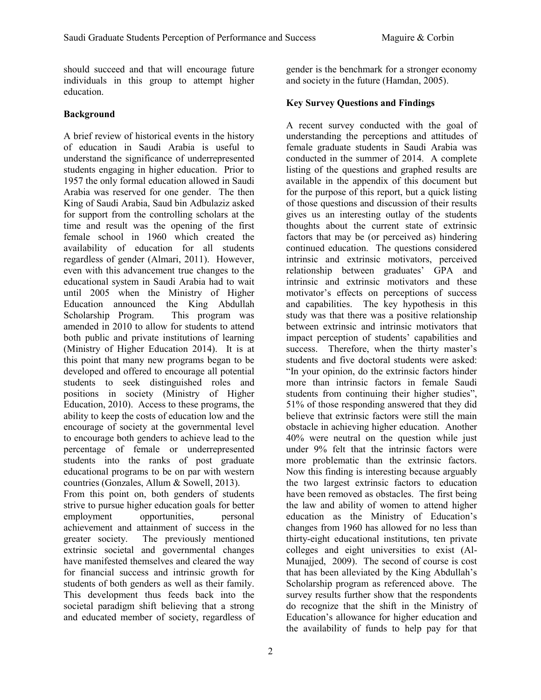should succeed and that will encourage future individuals in this group to attempt higher education.

#### **Background**

A brief review of historical events in the history of education in Saudi Arabia is useful to understand the significance of underrepresented students engaging in higher education. Prior to 1957 the only formal education allowed in Saudi Arabia was reserved for one gender. The then King of Saudi Arabia, Saud bin Adbulaziz asked for support from the controlling scholars at the time and result was the opening of the first female school in 1960 which created the availability of education for all students regardless of gender (Almari, 2011). However, even with this advancement true changes to the educational system in Saudi Arabia had to wait until 2005 when the Ministry of Higher Education announced the King Abdullah Scholarship Program. This program was amended in 2010 to allow for students to attend both public and private institutions of learning (Ministry of Higher Education 2014). It is at this point that many new programs began to be developed and offered to encourage all potential students to seek distinguished roles and positions in society (Ministry of Higher Education, 2010). Access to these programs, the ability to keep the costs of education low and the encourage of society at the governmental level to encourage both genders to achieve lead to the percentage of female or underrepresented students into the ranks of post graduate educational programs to be on par with western countries (Gonzales, Allum & Sowell, 2013).

From this point on, both genders of students strive to pursue higher education goals for better employment opportunities, personal achievement and attainment of success in the greater society. The previously mentioned extrinsic societal and governmental changes have manifested themselves and cleared the way for financial success and intrinsic growth for students of both genders as well as their family. This development thus feeds back into the societal paradigm shift believing that a strong and educated member of society, regardless of gender is the benchmark for a stronger economy and society in the future (Hamdan, 2005).

## **Key Survey Questions and Findings**

A recent survey conducted with the goal of understanding the perceptions and attitudes of female graduate students in Saudi Arabia was conducted in the summer of 2014. A complete listing of the questions and graphed results are available in the appendix of this document but for the purpose of this report, but a quick listing of those questions and discussion of their results gives us an interesting outlay of the students thoughts about the current state of extrinsic factors that may be (or perceived as) hindering continued education. The questions considered intrinsic and extrinsic motivators, perceived relationship between graduates' GPA and intrinsic and extrinsic motivators and these motivator's effects on perceptions of success and capabilities. The key hypothesis in this study was that there was a positive relationship between extrinsic and intrinsic motivators that impact perception of students' capabilities and success. Therefore, when the thirty master's students and five doctoral students were asked: "In your opinion, do the extrinsic factors hinder more than intrinsic factors in female Saudi students from continuing their higher studies", 51% of those responding answered that they did believe that extrinsic factors were still the main obstacle in achieving higher education. Another 40% were neutral on the question while just under 9% felt that the intrinsic factors were more problematic than the extrinsic factors. Now this finding is interesting because arguably the two largest extrinsic factors to education have been removed as obstacles. The first being the law and ability of women to attend higher education as the Ministry of Education's changes from 1960 has allowed for no less than thirty-eight educational institutions, ten private colleges and eight universities to exist (Al-Munajjed, 2009). The second of course is cost that has been alleviated by the King Abdullah's Scholarship program as referenced above. The survey results further show that the respondents do recognize that the shift in the Ministry of Education's allowance for higher education and the availability of funds to help pay for that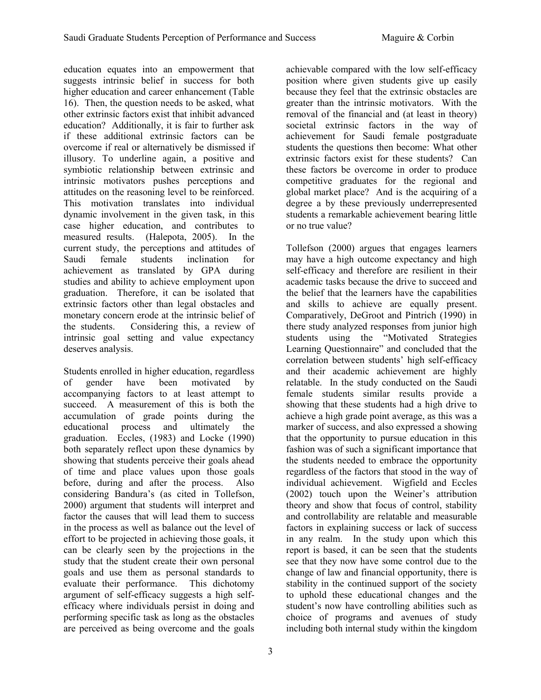education equates into an empowerment that suggests intrinsic belief in success for both higher education and career enhancement (Table 16). Then, the question needs to be asked, what other extrinsic factors exist that inhibit advanced education? Additionally, it is fair to further ask if these additional extrinsic factors can be overcome if real or alternatively be dismissed if illusory. To underline again, a positive and symbiotic relationship between extrinsic and intrinsic motivators pushes perceptions and attitudes on the reasoning level to be reinforced. This motivation translates into individual dynamic involvement in the given task, in this case higher education, and contributes to measured results. (Halepota, 2005). In the current study, the perceptions and attitudes of Saudi female students inclination for achievement as translated by GPA during studies and ability to achieve employment upon graduation. Therefore, it can be isolated that extrinsic factors other than legal obstacles and monetary concern erode at the intrinsic belief of the students. Considering this, a review of intrinsic goal setting and value expectancy deserves analysis.

Students enrolled in higher education, regardless of gender have been motivated by accompanying factors to at least attempt to succeed. A measurement of this is both the accumulation of grade points during the educational process and ultimately the graduation. Eccles, (1983) and Locke (1990) both separately reflect upon these dynamics by showing that students perceive their goals ahead of time and place values upon those goals before, during and after the process. Also considering Bandura's (as cited in Tollefson, 2000) argument that students will interpret and factor the causes that will lead them to success in the process as well as balance out the level of effort to be projected in achieving those goals, it can be clearly seen by the projections in the study that the student create their own personal goals and use them as personal standards to evaluate their performance. This dichotomy argument of self-efficacy suggests a high selfefficacy where individuals persist in doing and performing specific task as long as the obstacles are perceived as being overcome and the goals

achievable compared with the low self-efficacy position where given students give up easily because they feel that the extrinsic obstacles are greater than the intrinsic motivators. With the removal of the financial and (at least in theory) societal extrinsic factors in the way of achievement for Saudi female postgraduate students the questions then become: What other extrinsic factors exist for these students? Can these factors be overcome in order to produce competitive graduates for the regional and global market place? And is the acquiring of a degree a by these previously underrepresented students a remarkable achievement bearing little or no true value?

Tollefson (2000) argues that engages learners may have a high outcome expectancy and high self-efficacy and therefore are resilient in their academic tasks because the drive to succeed and the belief that the learners have the capabilities and skills to achieve are equally present. Comparatively, DeGroot and Pintrich (1990) in there study analyzed responses from junior high students using the "Motivated Strategies Learning Questionnaire" and concluded that the correlation between students' high self-efficacy and their academic achievement are highly relatable. In the study conducted on the Saudi female students similar results provide a showing that these students had a high drive to achieve a high grade point average, as this was a marker of success, and also expressed a showing that the opportunity to pursue education in this fashion was of such a significant importance that the students needed to embrace the opportunity regardless of the factors that stood in the way of individual achievement. Wigfield and Eccles (2002) touch upon the Weiner's attribution theory and show that focus of control, stability and controllability are relatable and measurable factors in explaining success or lack of success in any realm. In the study upon which this report is based, it can be seen that the students see that they now have some control due to the change of law and financial opportunity, there is stability in the continued support of the society to uphold these educational changes and the student's now have controlling abilities such as choice of programs and avenues of study including both internal study within the kingdom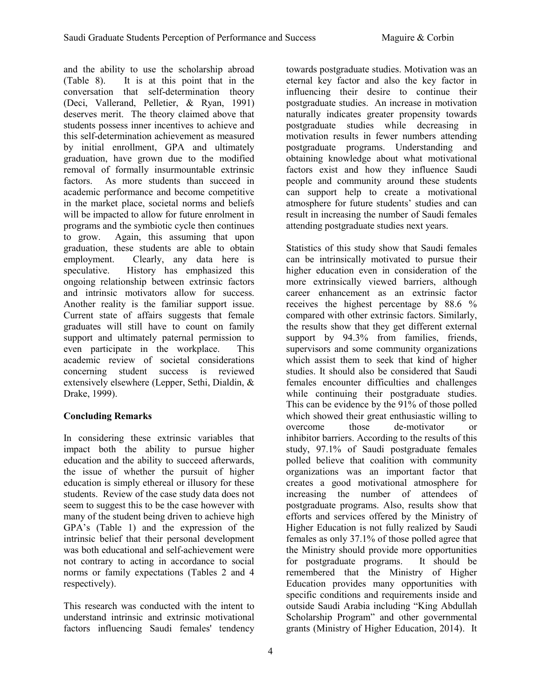and the ability to use the scholarship abroad (Table 8). It is at this point that in the conversation that self-determination theory (Deci, Vallerand, Pelletier, & Ryan, 1991) deserves merit. The theory claimed above that students possess inner incentives to achieve and this self-determination achievement as measured by initial enrollment, GPA and ultimately graduation, have grown due to the modified removal of formally insurmountable extrinsic factors. As more students than succeed in academic performance and become competitive in the market place, societal norms and beliefs will be impacted to allow for future enrolment in programs and the symbiotic cycle then continues to grow. Again, this assuming that upon graduation, these students are able to obtain employment. Clearly, any data here is speculative. History has emphasized this ongoing relationship between extrinsic factors and intrinsic motivators allow for success. Another reality is the familiar support issue. Current state of affairs suggests that female graduates will still have to count on family support and ultimately paternal permission to even participate in the workplace. This academic review of societal considerations concerning student success is reviewed extensively elsewhere (Lepper, Sethi, Dialdin, & Drake, 1999).

## **Concluding Remarks**

In considering these extrinsic variables that impact both the ability to pursue higher education and the ability to succeed afterwards, the issue of whether the pursuit of higher education is simply ethereal or illusory for these students. Review of the case study data does not seem to suggest this to be the case however with many of the student being driven to achieve high GPA's (Table 1) and the expression of the intrinsic belief that their personal development was both educational and self-achievement were not contrary to acting in accordance to social norms or family expectations (Tables 2 and 4 respectively).

This research was conducted with the intent to understand intrinsic and extrinsic motivational factors influencing Saudi females' tendency

towards postgraduate studies. Motivation was an eternal key factor and also the key factor in influencing their desire to continue their postgraduate studies. An increase in motivation naturally indicates greater propensity towards postgraduate studies while decreasing in motivation results in fewer numbers attending postgraduate programs. Understanding and obtaining knowledge about what motivational factors exist and how they influence Saudi people and community around these students can support help to create a motivational atmosphere for future students' studies and can result in increasing the number of Saudi females attending postgraduate studies next years.

Statistics of this study show that Saudi females can be intrinsically motivated to pursue their higher education even in consideration of the more extrinsically viewed barriers, although career enhancement as an extrinsic factor receives the highest percentage by 88.6 % compared with other extrinsic factors. Similarly, the results show that they get different external support by 94.3% from families, friends, supervisors and some community organizations which assist them to seek that kind of higher studies. It should also be considered that Saudi females encounter difficulties and challenges while continuing their postgraduate studies. This can be evidence by the 91% of those polled which showed their great enthusiastic willing to overcome those de-motivator or inhibitor barriers. According to the results of this study, 97.1% of Saudi postgraduate females polled believe that coalition with community organizations was an important factor that creates a good motivational atmosphere for increasing the number of attendees of postgraduate programs. Also, results show that efforts and services offered by the Ministry of Higher Education is not fully realized by Saudi females as only 37.1% of those polled agree that the Ministry should provide more opportunities for postgraduate programs. It should be remembered that the Ministry of Higher Education provides many opportunities with specific conditions and requirements inside and outside Saudi Arabia including "King Abdullah Scholarship Program" and other governmental grants (Ministry of Higher Education, 2014). It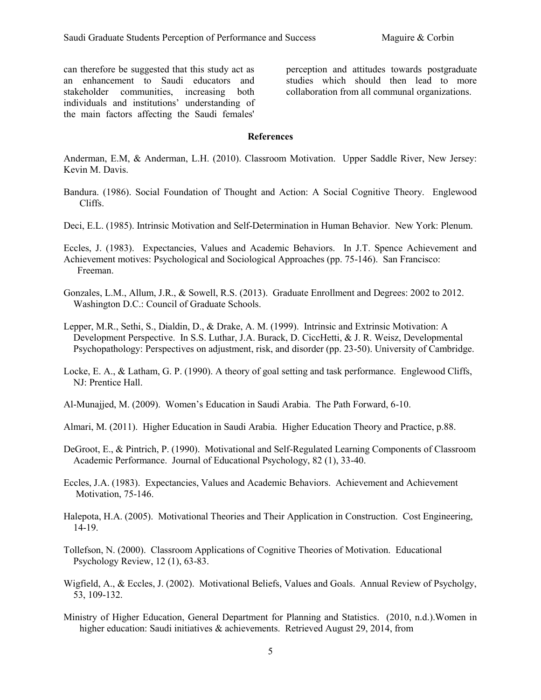can therefore be suggested that this study act as an enhancement to Saudi educators and stakeholder communities, increasing both individuals and institutions' understanding of the main factors affecting the Saudi females'

perception and attitudes towards postgraduate studies which should then lead to more collaboration from all communal organizations.

#### **References**

Anderman, E.M, & Anderman, L.H. (2010). Classroom Motivation. Upper Saddle River, New Jersey: Kevin M. Davis.

- Bandura. (1986). Social Foundation of Thought and Action: A Social Cognitive Theory. Englewood Cliffs.
- Deci, E.L. (1985). Intrinsic Motivation and Self-Determination in Human Behavior. New York: Plenum.
- Eccles, J. (1983). Expectancies, Values and Academic Behaviors. In J.T. Spence Achievement and Achievement motives: Psychological and Sociological Approaches (pp. 75-146). San Francisco: Freeman.
- Gonzales, L.M., Allum, J.R., & Sowell, R.S. (2013). Graduate Enrollment and Degrees: 2002 to 2012. Washington D.C.: Council of Graduate Schools.
- Lepper, M.R., Sethi, S., Dialdin, D., & Drake, A. M. (1999). Intrinsic and Extrinsic Motivation: A Development Perspective. In S.S. Luthar, J.A. Burack, D. CiccHetti, & J. R. Weisz, Developmental Psychopathology: Perspectives on adjustment, risk, and disorder (pp. 23-50). University of Cambridge.
- Locke, E. A., & Latham, G. P. (1990). A theory of goal setting and task performance. Englewood Cliffs, NJ: Prentice Hall.
- Al-Munajjed, M. (2009). Women's Education in Saudi Arabia. The Path Forward, 6-10.
- Almari, M. (2011). Higher Education in Saudi Arabia. Higher Education Theory and Practice, p.88.
- DeGroot, E., & Pintrich, P. (1990). Motivational and Self-Regulated Learning Components of Classroom Academic Performance. Journal of Educational Psychology, 82 (1), 33-40.
- Eccles, J.A. (1983). Expectancies, Values and Academic Behaviors. Achievement and Achievement Motivation, 75-146.
- Halepota, H.A. (2005). Motivational Theories and Their Application in Construction. Cost Engineering, 14-19.
- Tollefson, N. (2000). Classroom Applications of Cognitive Theories of Motivation. Educational Psychology Review, 12 (1), 63-83.
- Wigfield, A., & Eccles, J. (2002). Motivational Beliefs, Values and Goals. Annual Review of Psycholgy, 53, 109-132.
- Ministry of Higher Education, General Department for Planning and Statistics. (2010, n.d.).Women in higher education: Saudi initiatives & achievements. Retrieved August 29, 2014, from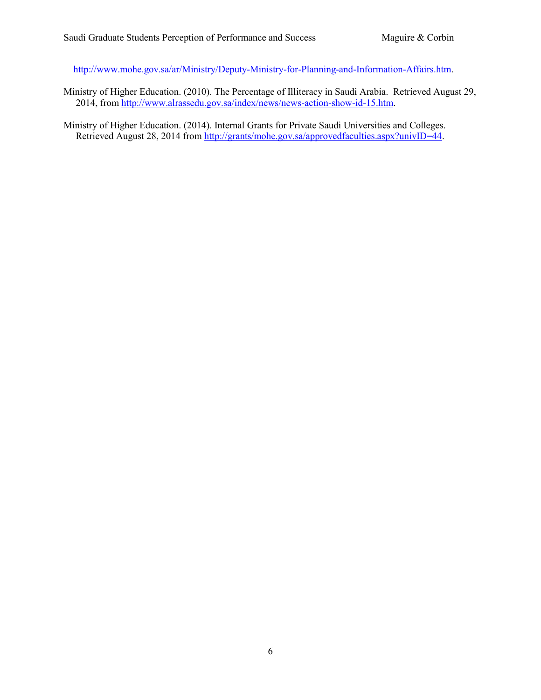[http://www.mohe.gov.sa/ar/Ministry/Deputy-Ministry-for-Planning-and-Information-Affairs.htm.](http://www.mohe.gov.sa/ar/Ministry/Deputy-Ministry-for-Planning-and-Information-Affairs.htm)

Ministry of Higher Education. (2010). The Percentage of Illiteracy in Saudi Arabia. Retrieved August 29, 2014, from [http://www.alrassedu.gov.sa/index/news/news-action-show-id-15.htm.](http://www.alrassedu.gov.sa/index/news/news-action-show-id-15.htm)

Ministry of Higher Education. (2014). Internal Grants for Private Saudi Universities and Colleges. Retrieved August 28, 2014 from [http://grants/mohe.gov.sa/approvedfaculties.aspx?univID=44.](http://grants/mohe.gov.sa/approvedfaculties.aspx?univID=44)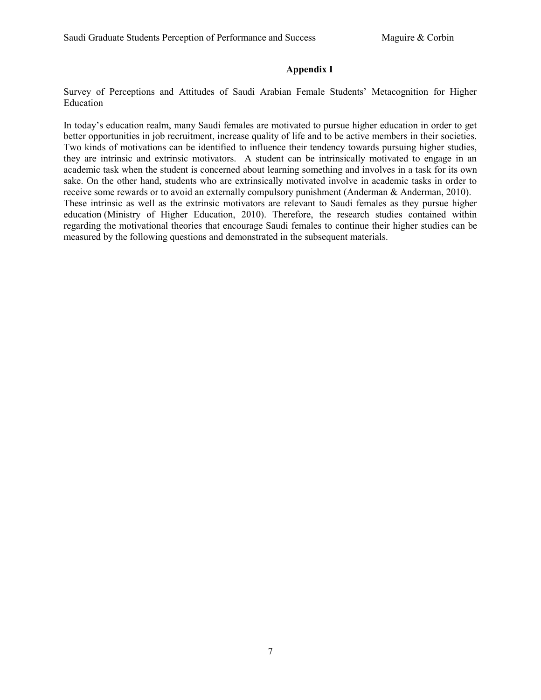#### **Appendix I**

Survey of Perceptions and Attitudes of Saudi Arabian Female Students' Metacognition for Higher Education

In today's education realm, many Saudi females are motivated to pursue higher education in order to get better opportunities in job recruitment, increase quality of life and to be active members in their societies. Two kinds of motivations can be identified to influence their tendency towards pursuing higher studies, they are intrinsic and extrinsic motivators. A student can be intrinsically motivated to engage in an academic task when the student is concerned about learning something and involves in a task for its own sake. On the other hand, students who are extrinsically motivated involve in academic tasks in order to receive some rewards or to avoid an externally compulsory punishment (Anderman & Anderman, 2010). These intrinsic as well as the extrinsic motivators are relevant to Saudi females as they pursue higher education (Ministry of Higher Education, 2010). Therefore, the research studies contained within regarding the motivational theories that encourage Saudi females to continue their higher studies can be measured by the following questions and demonstrated in the subsequent materials.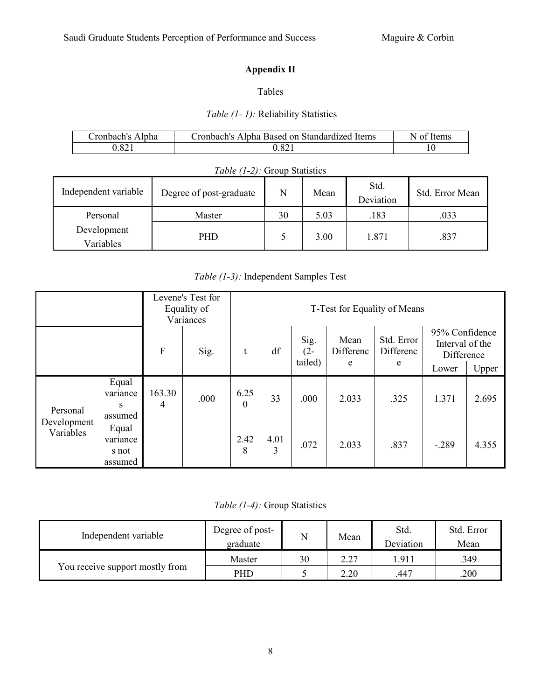├

# **Appendix II**

## Tables

## *Table (1- 1):* Reliability Statistics

| Cronbach's Alpha | Cronbach's Alpha Based on Standardized Items | N of Items |
|------------------|----------------------------------------------|------------|
| 0.821            | 0.82                                         |            |

| <i>Table (1-2):</i> Group Statistics |                         |    |      |                   |                 |  |  |
|--------------------------------------|-------------------------|----|------|-------------------|-----------------|--|--|
| Independent variable                 | Degree of post-graduate | N  | Mean | Std.<br>Deviation | Std. Error Mean |  |  |
| Personal                             | Master                  | 30 | 5.03 | .183              | .033            |  |  |
| Development<br>Variables             | <b>PHD</b>              |    | 3.00 | 1.871             | .837            |  |  |

## *Table (1-3):* Independent Samples Test

| Levene's Test for<br>Equality of<br>Variances |                                       |             |      |                  |           | T-Test for Equality of Means |                   |                         |                                                 |       |
|-----------------------------------------------|---------------------------------------|-------------|------|------------------|-----------|------------------------------|-------------------|-------------------------|-------------------------------------------------|-------|
|                                               |                                       | ${\bf F}$   | Sig. | t                | df        | Sig.<br>$(2 -$               | Mean<br>Differenc | Std. Error<br>Differenc | 95% Confidence<br>Interval of the<br>Difference |       |
|                                               |                                       |             |      |                  |           | tailed)                      | e                 | e                       | Lower                                           | Upper |
| Personal                                      | Equal<br>variance<br>S<br>assumed     | 163.30<br>4 | .000 | 6.25<br>$\theta$ | 33        | .000                         | 2.033             | .325                    | 1.371                                           | 2.695 |
| Development<br>Variables                      | Equal<br>variance<br>s not<br>assumed |             |      | 2.42<br>8        | 4.01<br>3 | .072                         | 2.033             | .837                    | $-.289$                                         | 4.355 |

*Table (1-4):* Group Statistics

| Independent variable            | Degree of post-<br>graduate |    | Mean | Std.<br>Deviation | Std. Error<br>Mean |
|---------------------------------|-----------------------------|----|------|-------------------|--------------------|
|                                 | Master                      | 30 | 2.27 | 1.911             | .349               |
| You receive support mostly from | PHD                         |    | 2.20 | .447              | 200                |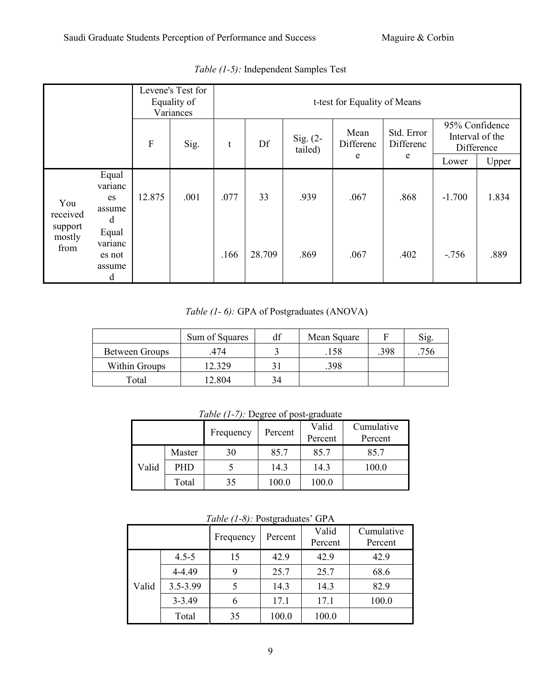| Levene's Test for<br>Equality of<br>Variances |                                           |                      |      | t-test for Equality of Means |                       |                   |                         |                                                 |          |       |  |
|-----------------------------------------------|-------------------------------------------|----------------------|------|------------------------------|-----------------------|-------------------|-------------------------|-------------------------------------------------|----------|-------|--|
|                                               |                                           | F<br>Df<br>Sig.<br>t |      |                              | Sig. $(2-$<br>tailed) | Mean<br>Differenc | Std. Error<br>Differenc | 95% Confidence<br>Interval of the<br>Difference |          |       |  |
|                                               |                                           |                      |      |                              |                       |                   | e                       | e                                               | Lower    | Upper |  |
| You<br>received                               | Equal<br>varianc<br>es<br>assume<br>d     | 12.875               | .001 | .077                         | 33                    | .939              | .067                    | .868                                            | $-1.700$ | 1.834 |  |
| support<br>mostly<br>from                     | Equal<br>varianc<br>es not<br>assume<br>d |                      |      | .166                         | 28.709                | .869              | .067                    | .402                                            | $-756$   | .889  |  |

*Table (1-5):* Independent Samples Test

*Table (1- 6):* GPA of Postgraduates (ANOVA)

|                | Sum of Squares | df | Mean Square |      | Sig |
|----------------|----------------|----|-------------|------|-----|
| Between Groups | 474            |    | .158        | .398 | 756 |
| Within Groups  | 12.329         | 3  | .398        |      |     |
| Total          | 12.804         | 34 |             |      |     |

*Table (1-7):* Degree of post-graduate

|       |            | Frequency | Percent | Valid<br>Percent | Cumulative<br>Percent |
|-------|------------|-----------|---------|------------------|-----------------------|
|       | Master     | 30        | 85.7    | 85.7             | 85.7                  |
| Valid | <b>PHD</b> |           | 14.3    | 14.3             | 100.0                 |
|       | Total      | 35        | 100.0   | 100.0            |                       |

*Table (1-8):* Postgraduates' GPA

|       | $1400 \in (1-0)$ . I Osigradually $\overline{O(1)}$ |           |         |                  |                       |  |  |  |  |
|-------|-----------------------------------------------------|-----------|---------|------------------|-----------------------|--|--|--|--|
|       |                                                     | Frequency | Percent | Valid<br>Percent | Cumulative<br>Percent |  |  |  |  |
|       |                                                     |           |         |                  |                       |  |  |  |  |
|       | $4.5 - 5$                                           | 15        | 42.9    | 42.9             | 42.9                  |  |  |  |  |
|       | 4-4.49                                              | 9         | 25.7    | 25.7             | 68.6                  |  |  |  |  |
| Valid | $3.5 - 3.99$                                        |           | 14.3    | 14.3             | 82.9                  |  |  |  |  |
|       | $3 - 3.49$                                          | 6         | 17.1    | 17.1             | 100.0                 |  |  |  |  |
|       | Total                                               | 35        | 100.0   | 100.0            |                       |  |  |  |  |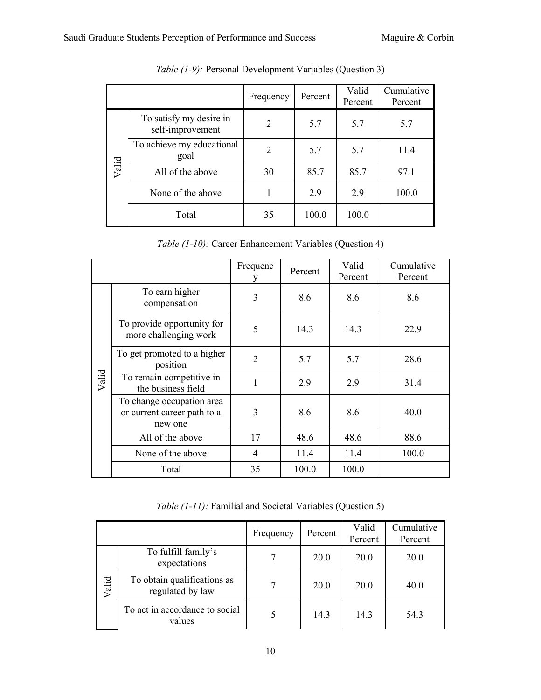|       |                                             | Frequency | Percent | Valid<br>Percent | Cumulative<br>Percent |
|-------|---------------------------------------------|-----------|---------|------------------|-----------------------|
|       | To satisfy my desire in<br>self-improvement | 2         | 5.7     | 5.7              | 5.7                   |
|       | To achieve my educational<br>goal           | 2         | 5.7     | 5.7              | 11.4                  |
| Valid | All of the above                            | 30        | 85.7    | 85.7             | 97.1                  |
|       | None of the above                           |           | 2.9     | 2.9              | 100.0                 |
|       | Total                                       | 35        | 100.0   | 100.0            |                       |

*Table (1-9):* Personal Development Variables (Question 3)

*Table (1-10):* Career Enhancement Variables (Question 4)

|       |                                                                     | Frequenc<br>y  | Percent | Valid<br>Percent | Cumulative<br>Percent |
|-------|---------------------------------------------------------------------|----------------|---------|------------------|-----------------------|
|       | To earn higher<br>compensation                                      | 3              | 8.6     | 8.6              | 8.6                   |
|       | To provide opportunity for<br>more challenging work                 | 5              | 14.3    | 14.3             | 22.9                  |
|       | To get promoted to a higher<br>position                             | $\overline{2}$ | 5.7     | 5.7              | 28.6                  |
| Valid | To remain competitive in<br>the business field                      | 1              | 2.9     | 2.9              | 31.4                  |
|       | To change occupation area<br>or current career path to a<br>new one | 3              | 8.6     | 8.6              | 40.0                  |
|       | All of the above                                                    | 17             | 48.6    | 48.6             | 88.6                  |
|       | None of the above                                                   | 4              | 11.4    | 11.4             | 100.0                 |
|       | Total                                                               | 35             | 100.0   | 100.0            |                       |

*Table (1-11):* Familial and Societal Variables (Question 5)

|       |                                                 | Frequency | Percent | Valid<br>Percent | Cumulative<br>Percent |
|-------|-------------------------------------------------|-----------|---------|------------------|-----------------------|
|       | To fulfill family's<br>expectations             |           | 20.0    | 20.0             | 20.0                  |
| Valid | To obtain qualifications as<br>regulated by law |           | 20.0    | 20.0             | 40.0                  |
|       | To act in accordance to social<br>values        |           | 14.3    | 14.3             | 54.3                  |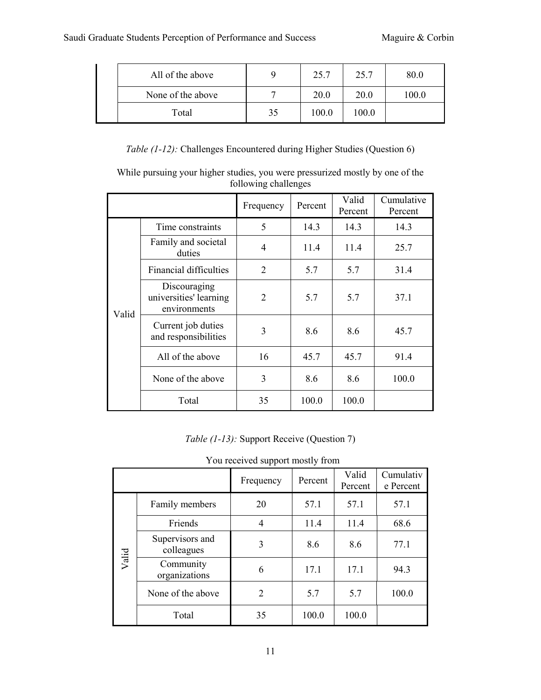| All of the above  |    | 25.7  | 25.7  | 80.0  |
|-------------------|----|-------|-------|-------|
| None of the above |    | 20.0  | 20.0  | 100.0 |
| Total             | 35 | 100.0 | 100.0 |       |

*Table (1-12):* Challenges Encountered during Higher Studies (Question 6)

While pursuing your higher studies, you were pressurized mostly by one of the following challenges

|       |                                                        | Percent<br>Frequency |       | Valid<br>Percent | Cumulative<br>Percent |
|-------|--------------------------------------------------------|----------------------|-------|------------------|-----------------------|
|       | Time constraints                                       | 5                    | 14.3  | 14.3             | 14.3                  |
|       | Family and societal<br>duties                          | 4                    | 11.4  | 11.4             | 25.7                  |
|       | Financial difficulties                                 | $\overline{2}$       | 5.7   | 5.7              | 31.4                  |
| Valid | Discouraging<br>universities' learning<br>environments | 2                    | 5.7   | 5.7              | 37.1                  |
|       | Current job duties<br>and responsibilities             | 3                    | 8.6   | 8.6              | 45.7                  |
|       | All of the above                                       | 16                   | 45.7  | 45.7             | 91.4                  |
|       | None of the above                                      | 3                    | 8.6   | 8.6              | 100.0                 |
|       | Total                                                  | 35                   | 100.0 | 100.0            |                       |

*Table (1-13):* Support Receive (Question 7)

|       |                               | Frequency | Percent | Valid<br>Percent | Cumulativ<br>e Percent |
|-------|-------------------------------|-----------|---------|------------------|------------------------|
|       | Family members                | 20        | 57.1    | 57.1             | 57.1                   |
|       | Friends                       | 4         | 11.4    | 11.4             | 68.6                   |
| Valid | Supervisors and<br>colleagues | 3         | 8.6     | 8.6              | 77.1                   |
|       | Community<br>organizations    | 6         | 17.1    | 17.1             | 94.3                   |
|       | None of the above             | 2         | 5.7     | 5.7              | 100.0                  |
|       | Total                         | 35        | 100.0   | 100.0            |                        |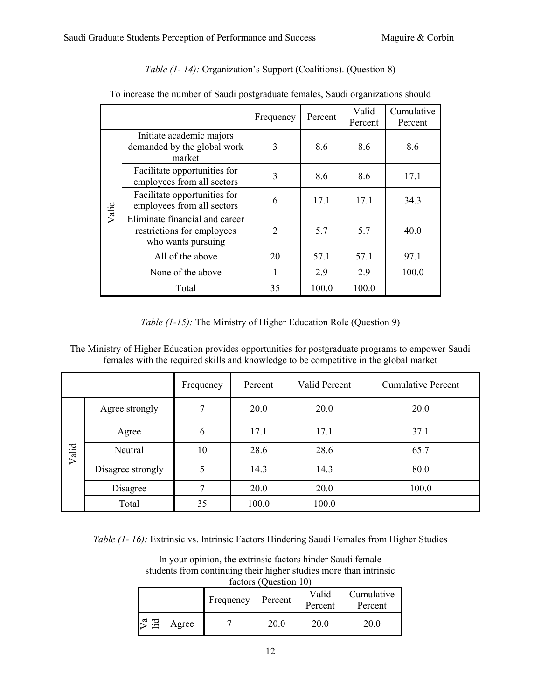| To increase the number of Saudi postgraduate females, Saudi organizations should |                                                                                    |                |         |                  |                       |  |  |  |
|----------------------------------------------------------------------------------|------------------------------------------------------------------------------------|----------------|---------|------------------|-----------------------|--|--|--|
|                                                                                  |                                                                                    | Frequency      | Percent | Valid<br>Percent | Cumulative<br>Percent |  |  |  |
| Valid                                                                            | Initiate academic majors<br>demanded by the global work<br>market                  | 3              | 8.6     | 8.6              | 8.6                   |  |  |  |
|                                                                                  | Facilitate opportunities for<br>employees from all sectors                         | 3              | 8.6     | 8.6              | 17.1                  |  |  |  |
|                                                                                  | Facilitate opportunities for<br>employees from all sectors                         | 6              | 17.1    | 17.1             | 34.3                  |  |  |  |
|                                                                                  | Eliminate financial and career<br>restrictions for employees<br>who wants pursuing | $\overline{2}$ | 5.7     | 5.7              | 40.0                  |  |  |  |
|                                                                                  | All of the above                                                                   | 20             | 57.1    | 57.1             | 97.1                  |  |  |  |
|                                                                                  | None of the above                                                                  | 1              | 2.9     | 2.9              | 100.0                 |  |  |  |
|                                                                                  | Total                                                                              | 35             | 100.0   | 100.0            |                       |  |  |  |

## *Table (1- 14):* Organization's Support (Coalitions). (Question 8)

*Table (1-15):* The Ministry of Higher Education Role (Question 9)

The Ministry of Higher Education provides opportunities for postgraduate programs to empower Saudi females with the required skills and knowledge to be competitive in the global market

|       |                   | Frequency | Percent | Valid Percent | <b>Cumulative Percent</b> |
|-------|-------------------|-----------|---------|---------------|---------------------------|
|       | Agree strongly    | 7         | 20.0    | 20.0          | 20.0                      |
|       | Agree             | 6         | 17.1    | 17.1          | 37.1                      |
| Valid | Neutral           | 10        | 28.6    | 28.6          | 65.7                      |
|       | Disagree strongly | 5         | 14.3    | 14.3          | 80.0                      |
|       | Disagree          | 7         | 20.0    | 20.0          | 100.0                     |
|       | Total             | 35        | 100.0   | 100.0         |                           |

*Table (1- 16):* Extrinsic vs. Intrinsic Factors Hindering Saudi Females from Higher Studies

| In your opinion, the extrinsic factors hinder Saudi female        |
|-------------------------------------------------------------------|
| students from continuing their higher studies more than intrinsic |
| factors (Ouestion 10)                                             |

| --------- |           |         |                  |                       |  |  |  |  |  |  |
|-----------|-----------|---------|------------------|-----------------------|--|--|--|--|--|--|
|           | Frequency | Percent | Valid<br>Percent | Cumulative<br>Percent |  |  |  |  |  |  |
| Agree     |           | 20.0    | 20.0             | 20.0                  |  |  |  |  |  |  |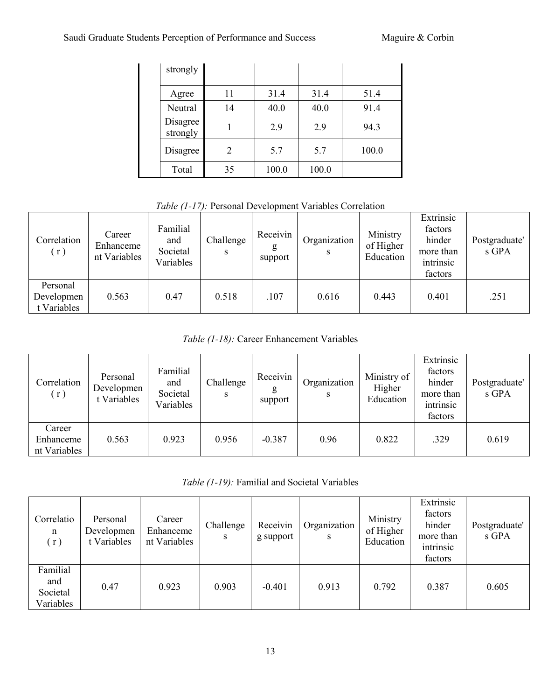| strongly             |    |       |       |       |
|----------------------|----|-------|-------|-------|
| Agree                | 11 | 31.4  | 31.4  | 51.4  |
| Neutral              | 14 | 40.0  | 40.0  | 91.4  |
| Disagree<br>strongly |    | 2.9   | 2.9   | 94.3  |
| Disagree             | 2  | 5.7   | 5.7   | 100.0 |
| Total                | 35 | 100.0 | 100.0 |       |

*Table (1-17):* Personal Development Variables Correlation

| Correlation<br>(r)                    | Career<br>Enhanceme<br>nt Variables | Familial<br>and<br>Societal<br>Variables | Challenge<br>S | Receivin<br>g<br>support | Organization<br>S | Ministry<br>of Higher<br>Education | Extrinsic<br>factors<br>hinder<br>more than<br>intrinsic<br>factors | Postgraduate'<br>s GPA |
|---------------------------------------|-------------------------------------|------------------------------------------|----------------|--------------------------|-------------------|------------------------------------|---------------------------------------------------------------------|------------------------|
| Personal<br>Developmen<br>t Variables | 0.563                               | 0.47                                     | 0.518          | .107                     | 0.616             | 0.443                              | 0.401                                                               | .251                   |

*Table (1-18):* Career Enhancement Variables

| Correlation<br>(r)                  | Personal<br>Developmen<br>t Variables | Familial<br>and<br>Societal<br>Variables | Challenge<br>S | Receivin<br>g<br>support | Organization<br>S | Ministry of<br>Higher<br>Education | Extrinsic<br>factors<br>hinder<br>more than<br>intrinsic<br>factors | Postgraduate'<br>s GPA |
|-------------------------------------|---------------------------------------|------------------------------------------|----------------|--------------------------|-------------------|------------------------------------|---------------------------------------------------------------------|------------------------|
| Career<br>Enhanceme<br>nt Variables | 0.563                                 | 0.923                                    | 0.956          | $-0.387$                 | 0.96              | 0.822                              | .329                                                                | 0.619                  |

*Table (1-19):* Familial and Societal Variables

| Correlatio<br>n<br>(r)                   | Personal<br>Developmen<br>t Variables | Career<br>Enhanceme<br>nt Variables | Challenge<br>S | Receivin<br>g support | Organization | Ministry<br>of Higher<br>Education | Extrinsic<br>factors<br>hinder<br>more than<br>intrinsic<br>factors | Postgraduate'<br>s GPA |
|------------------------------------------|---------------------------------------|-------------------------------------|----------------|-----------------------|--------------|------------------------------------|---------------------------------------------------------------------|------------------------|
| Familial<br>and<br>Societal<br>Variables | 0.47                                  | 0.923                               | 0.903          | $-0.401$              | 0.913        | 0.792                              | 0.387                                                               | 0.605                  |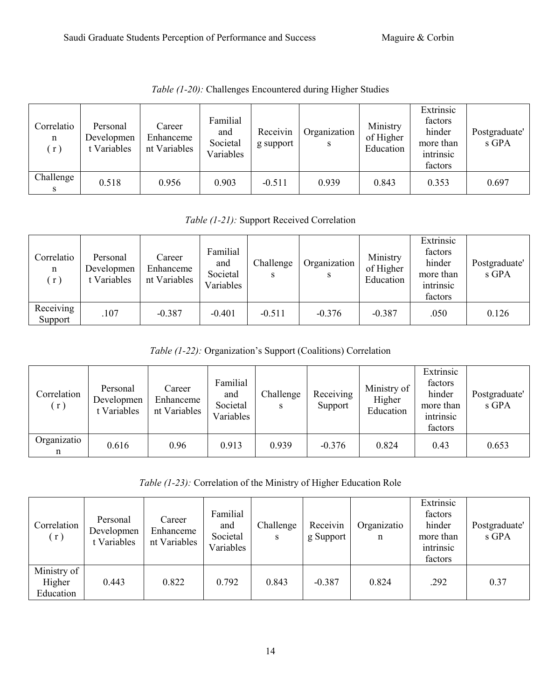| Correlatio<br>n<br>(r) | Personal<br>Developmen<br>t Variables | Career<br>Enhanceme<br>nt Variables | Familial<br>and<br>Societal<br>Variables | Receivin<br>g support | Organization<br>S | Ministry<br>of Higher<br>Education | Extrinsic<br>factors<br>hinder<br>more than<br>intrinsic<br>factors | Postgraduate'<br>s GPA |
|------------------------|---------------------------------------|-------------------------------------|------------------------------------------|-----------------------|-------------------|------------------------------------|---------------------------------------------------------------------|------------------------|
| Challenge              | 0.518                                 | 0.956                               | 0.903                                    | $-0.511$              | 0.939             | 0.843                              | 0.353                                                               | 0.697                  |

*Table (1-20):* Challenges Encountered during Higher Studies

*Table (1-21):* Support Received Correlation

| Correlatio<br>n<br>(r) | Personal<br>Developmen<br>t Variables | Career<br>Enhanceme<br>nt Variables | Familial<br>and<br>Societal<br>Variables | Challenge<br>S | Organization<br>S | Ministry<br>of Higher<br>Education | Extrinsic<br>factors<br>hinder<br>more than<br>intrinsic<br>factors | Postgraduate'<br>s GPA |
|------------------------|---------------------------------------|-------------------------------------|------------------------------------------|----------------|-------------------|------------------------------------|---------------------------------------------------------------------|------------------------|
| Receiving<br>Support   | .107                                  | $-0.387$                            | $-0.401$                                 | $-0.511$       | $-0.376$          | $-0.387$                           | .050                                                                | 0.126                  |

*Table (1-22):* Organization's Support (Coalitions) Correlation

| Correlation<br>(r) | Personal<br>Developmen<br>t Variables | Career<br>Enhanceme<br>nt Variables | Familial<br>and<br>Societal<br>Variables | Challenge<br>S | Receiving<br>Support | Ministry of<br>Higher<br>Education | Extrinsic<br>factors<br>hinder<br>more than<br>intrinsic<br>factors | Postgraduate'<br>s GPA |
|--------------------|---------------------------------------|-------------------------------------|------------------------------------------|----------------|----------------------|------------------------------------|---------------------------------------------------------------------|------------------------|
| Organizatio<br>n   | 0.616                                 | 0.96                                | 0.913                                    | 0.939          | $-0.376$             | 0.824                              | 0.43                                                                | 0.653                  |

*Table (1-23):* Correlation of the Ministry of Higher Education Role

| Correlation<br>(r)                 | Personal<br>Developmen<br>t Variables | Career<br>Enhanceme<br>nt Variables | Familial<br>and<br>Societal<br>Variables | Challenge<br>S | Receivin<br>g Support | Organizatio<br>n | Extrinsic<br>factors<br>hinder<br>more than<br>intrinsic<br>factors | Postgraduate'<br>s GPA |
|------------------------------------|---------------------------------------|-------------------------------------|------------------------------------------|----------------|-----------------------|------------------|---------------------------------------------------------------------|------------------------|
| Ministry of<br>Higher<br>Education | 0.443                                 | 0.822                               | 0.792                                    | 0.843          | $-0.387$              | 0.824            | .292                                                                | 0.37                   |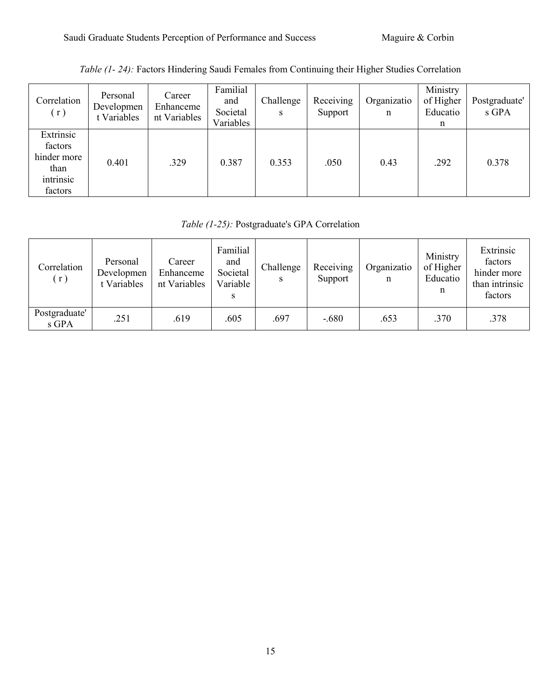| Correlation<br>(r)                                                  | Personal<br>Developmen<br>t Variables | Career<br>Enhanceme<br>nt Variables | Familial<br>and<br>Societal<br>Variables | Challenge<br>S | Receiving<br>Support | Organizatio<br>n | Ministry<br>of Higher<br>Educatio<br>n | Postgraduate'<br>s GPA |
|---------------------------------------------------------------------|---------------------------------------|-------------------------------------|------------------------------------------|----------------|----------------------|------------------|----------------------------------------|------------------------|
| Extrinsic<br>factors<br>hinder more<br>than<br>intrinsic<br>factors | 0.401                                 | .329                                | 0.387                                    | 0.353          | .050                 | 0.43             | .292                                   | 0.378                  |

# *Table (1- 24):* Factors Hindering Saudi Females from Continuing their Higher Studies Correlation

## *Table (1-25):* Postgraduate's GPA Correlation

| Correlation<br>(r)     | Personal<br>Developmen<br>t Variables | Career<br>Enhanceme<br>nt Variables | Familial<br>and<br>Societal<br>Variable | Challenge | Receiving<br>Support | Organizatio<br>n | Ministry<br>of Higher<br>Educatio<br>n | Extrinsic<br>factors<br>hinder more<br>than intrinsic<br>factors |
|------------------------|---------------------------------------|-------------------------------------|-----------------------------------------|-----------|----------------------|------------------|----------------------------------------|------------------------------------------------------------------|
| Postgraduate'<br>s GPA | .251                                  | .619                                | .605                                    | .697      | $-.680$              | .653             | .370                                   | .378                                                             |